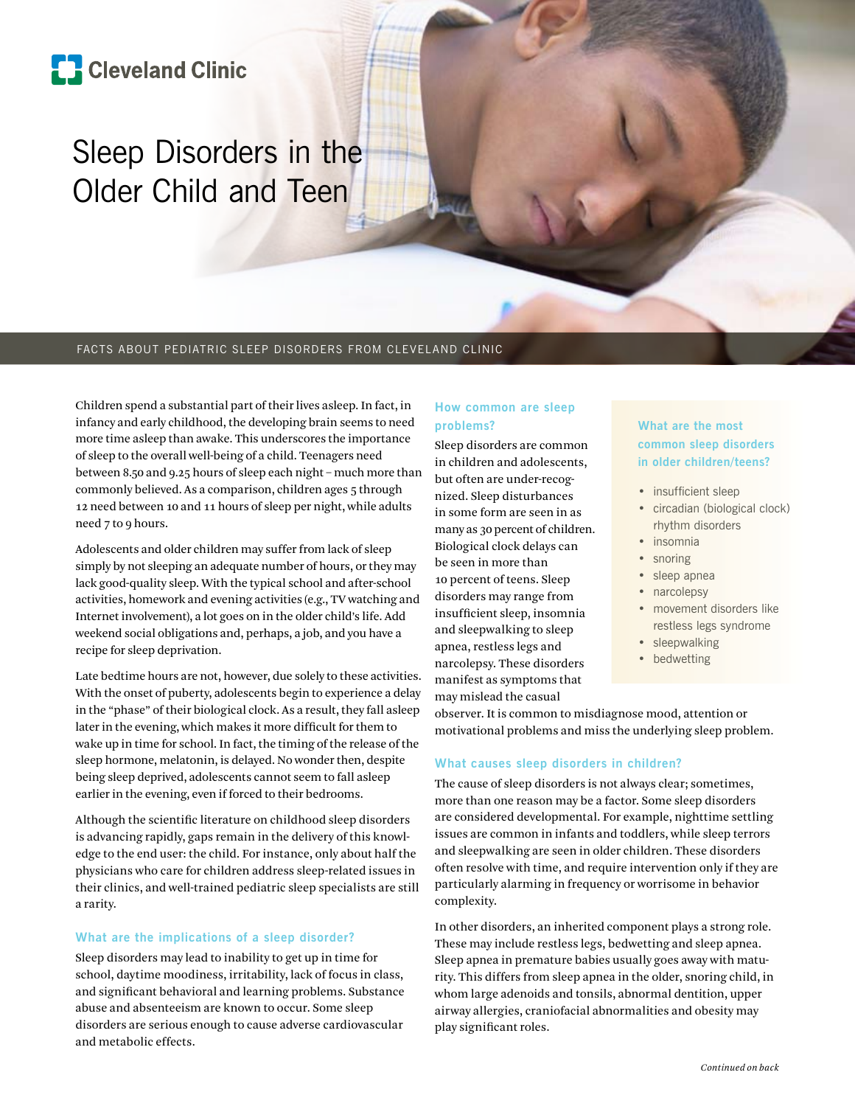# **[]** Cleveland Clinic

# Sleep Disorders in the Older Child and Teen

#### FACTS ABOUT PEDIATRIC SLEEP DISORDERS FROM CLEVELAND CLINIC

Children spend a substantial part of their lives asleep. In fact, in infancy and early childhood, the developing brain seems to need more time asleep than awake. This underscores the importance of sleep to the overall well-being of a child. Teenagers need between 8.50 and 9.25 hours of sleep each night – much more than commonly believed. As a comparison, children ages 5 through 12 need between 10 and 11 hours of sleep per night, while adults need 7 to 9 hours.

Adolescents and older children may suffer from lack of sleep simply by not sleeping an adequate number of hours, or they may lack good-quality sleep. With the typical school and after-school activities, homework and evening activities (e.g., TV watching and Internet involvement), a lot goes on in the older child's life. Add weekend social obligations and, perhaps, a job, and you have a recipe for sleep deprivation.

Late bedtime hours are not, however, due solely to these activities. With the onset of puberty, adolescents begin to experience a delay in the "phase" of their biological clock. As a result, they fall asleep later in the evening, which makes it more difficult for them to wake up in time for school. In fact, the timing of the release of the sleep hormone, melatonin, is delayed. No wonder then, despite being sleep deprived, adolescents cannot seem to fall asleep earlier in the evening, even if forced to their bedrooms.

Although the scientific literature on childhood sleep disorders is advancing rapidly, gaps remain in the delivery of this knowledge to the end user: the child. For instance, only about half the physicians who care for children address sleep-related issues in their clinics, and well-trained pediatric sleep specialists are still a rarity.

# **What are the implications of a sleep disorder?**

Sleep disorders may lead to inability to get up in time for school, daytime moodiness, irritability, lack of focus in class, and significant behavioral and learning problems. Substance abuse and absenteeism are known to occur. Some sleep disorders are serious enough to cause adverse cardiovascular and metabolic effects.

# **How common are sleep problems?**

Sleep disorders are common in children and adolescents, but often are under-recognized. Sleep disturbances in some form are seen in as many as 30 percent of children. Biological clock delays can be seen in more than 10 percent of teens. Sleep disorders may range from insufficient sleep, insomnia and sleepwalking to sleep apnea, restless legs and narcolepsy. These disorders manifest as symptoms that may mislead the casual

# **What are the most common sleep disorders in older children/teens?**

- insufficient sleep
- circadian (biological clock) rhythm disorders
- insomnia
- snoring
- sleep apnea
- narcolepsy
- movement disorders like restless legs syndrome
- sleepwalking
- bedwetting

observer. It is common to misdiagnose mood, attention or motivational problems and miss the underlying sleep problem.

# **What causes sleep disorders in children?**

The cause of sleep disorders is not always clear; sometimes, more than one reason may be a factor. Some sleep disorders are considered developmental. For example, nighttime settling issues are common in infants and toddlers, while sleep terrors and sleepwalking are seen in older children. These disorders often resolve with time, and require intervention only if they are particularly alarming in frequency or worrisome in behavior complexity.

In other disorders, an inherited component plays a strong role. These may include restless legs, bedwetting and sleep apnea. Sleep apnea in premature babies usually goes away with maturity. This differs from sleep apnea in the older, snoring child, in whom large adenoids and tonsils, abnormal dentition, upper airway allergies, craniofacial abnormalities and obesity may play significant roles.